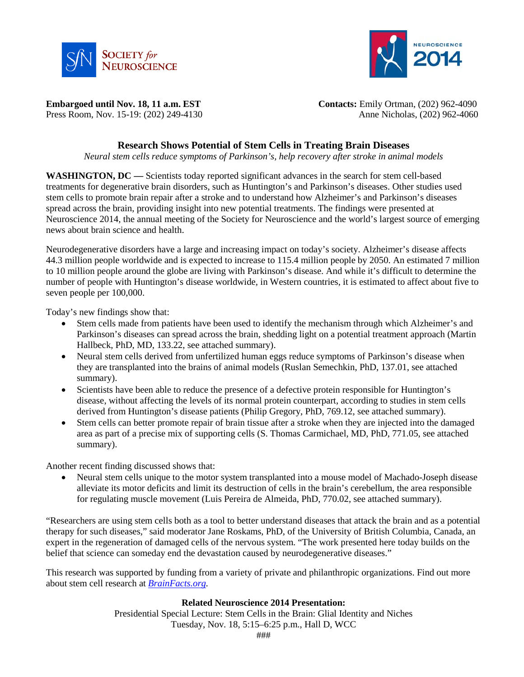



Press Room, Nov. 15-19: (202) 249-4130

**Embargoed until Nov. 18, 11 a.m. EST**<br>
Press Room, Nov. 15-19: (202) 249-4130<br>
Anne Nicholas, (202) 962-4060

# **Research Shows Potential of Stem Cells in Treating Brain Diseases**

*Neural stem cells reduce symptoms of Parkinson's, help recovery after stroke in animal models*

**WASHINGTON, DC —** Scientists today reported significant advances in the search for stem cell-based treatments for degenerative brain disorders, such as Huntington's and Parkinson's diseases. Other studies used stem cells to promote brain repair after a stroke and to understand how Alzheimer's and Parkinson's diseases spread across the brain, providing insight into new potential treatments. The findings were presented at Neuroscience 2014, the annual meeting of the Society for Neuroscience and the world's largest source of emerging news about brain science and health.

Neurodegenerative disorders have a large and increasing impact on today's society. Alzheimer's disease affects 44.3 million people worldwide and is expected to increase to 115.4 million people by 2050. An estimated 7 million to 10 million people around the globe are living with Parkinson's disease. And while it's difficult to determine the number of people with Huntington's disease worldwide, in Western countries, it is estimated to affect about five to seven people per 100,000.

Today's new findings show that:

- Stem cells made from patients have been used to identify the mechanism through which Alzheimer's and Parkinson's diseases can spread across the brain, shedding light on a potential treatment approach (Martin Hallbeck, PhD, MD, 133.22, see attached summary).
- Neural stem cells derived from unfertilized human eggs reduce symptoms of Parkinson's disease when they are transplanted into the brains of animal models (Ruslan Semechkin, PhD, 137.01, see attached summary).
- Scientists have been able to reduce the presence of a defective protein responsible for Huntington's disease, without affecting the levels of its normal protein counterpart, according to studies in stem cells derived from Huntington's disease patients (Philip Gregory, PhD, 769.12, see attached summary).
- Stem cells can better promote repair of brain tissue after a stroke when they are injected into the damaged area as part of a precise mix of supporting cells (S. Thomas Carmichael, MD, PhD, 771.05, see attached summary).

Another recent finding discussed shows that:

• Neural stem cells unique to the motor system transplanted into a mouse model of Machado-Joseph disease alleviate its motor deficits and limit its destruction of cells in the brain's cerebellum, the area responsible for regulating muscle movement (Luis Pereira de Almeida, PhD, 770.02, see attached summary).

"Researchers are using stem cells both as a tool to better understand diseases that attack the brain and as a potential therapy for such diseases," said moderator Jane Roskams, PhD, of the University of British Columbia, Canada, an expert in the regeneration of damaged cells of the nervous system. "The work presented here today builds on the belief that science can someday end the devastation caused by neurodegenerative diseases."

This research was supported by funding from a variety of private and philanthropic organizations. Find out more about stem cell research at *[BrainFacts.org.](http://www.brainfacts.org/)*

## **Related Neuroscience 2014 Presentation:**

Presidential Special Lecture: Stem Cells in the Brain: Glial Identity and Niches Tuesday, Nov. 18, 5:15–6:25 p.m., Hall D, WCC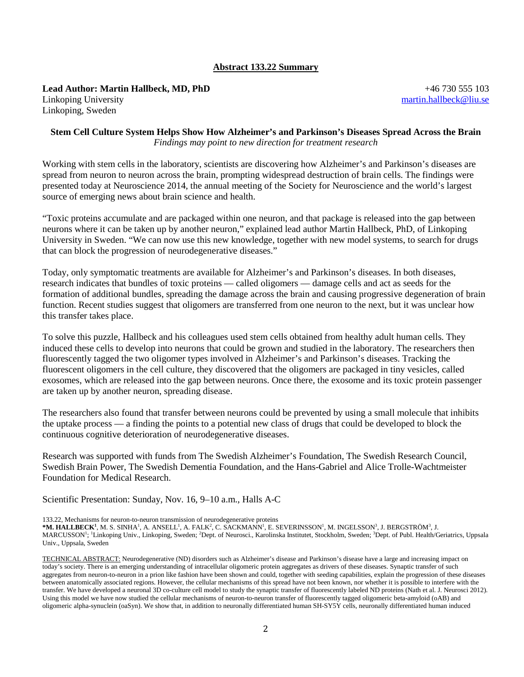### **Abstract 133.22 Summary**

**Lead Author: Martin Hallbeck, MD, PhD** Linkoping University Linkoping, Sweden

+46 730 555 103 [martin.hallbeck@liu.se](mailto:martin.hallbeck@liu.se)

#### **Stem Cell Culture System Helps Show How Alzheimer's and Parkinson's Diseases Spread Across the Brain** *Findings may point to new direction for treatment research*

Working with stem cells in the laboratory, scientists are discovering how Alzheimer's and Parkinson's diseases are spread from neuron to neuron across the brain, prompting widespread destruction of brain cells. The findings were presented today at Neuroscience 2014, the annual meeting of the Society for Neuroscience and the world's largest source of emerging news about brain science and health.

"Toxic proteins accumulate and are packaged within one neuron, and that package is released into the gap between neurons where it can be taken up by another neuron," explained lead author Martin Hallbeck, PhD, of Linkoping University in Sweden. "We can now use this new knowledge, together with new model systems, to search for drugs that can block the progression of neurodegenerative diseases."

Today, only symptomatic treatments are available for Alzheimer's and Parkinson's diseases. In both diseases, research indicates that bundles of toxic proteins — called oligomers — damage cells and act as seeds for the formation of additional bundles, spreading the damage across the brain and causing progressive degeneration of brain function. Recent studies suggest that oligomers are transferred from one neuron to the next, but it was unclear how this transfer takes place.

To solve this puzzle, Hallbeck and his colleagues used stem cells obtained from healthy adult human cells. They induced these cells to develop into neurons that could be grown and studied in the laboratory. The researchers then fluorescently tagged the two oligomer types involved in Alzheimer's and Parkinson's diseases. Tracking the fluorescent oligomers in the cell culture, they discovered that the oligomers are packaged in tiny vesicles, called exosomes, which are released into the gap between neurons. Once there, the exosome and its toxic protein passenger are taken up by another neuron, spreading disease.

The researchers also found that transfer between neurons could be prevented by using a small molecule that inhibits the uptake process — a finding the points to a potential new class of drugs that could be developed to block the continuous cognitive deterioration of neurodegenerative diseases.

Research was supported with funds from The Swedish Alzheimer's Foundation, The Swedish Research Council, Swedish Brain Power, The Swedish Dementia Foundation, and the Hans-Gabriel and Alice Trolle-Wachtmeister Foundation for Medical Research.

Scientific Presentation: Sunday, Nov. 16, 9–10 a.m., Halls A-C

133.22, Mechanisms for neuron-to-neuron transmission of neurodegenerative proteins

 $^*$ **M. HALLBECK'**, M. S. SINHA', A. ANSELL<sup>I</sup>, A. FALK<sup>2</sup>, C. SACKMANN'<sup>1</sup>, E. SEVERINSSON', M. INGELSSON<sup>3</sup>, J. BERGSTRÖM<sup>3</sup>, J. MARCUSSON<sup>1</sup>; <sup>1</sup>Linkoping Univ., Linkoping, Sweden; <sup>2</sup>Dept. of Neurosci., Karolinska Institutet, Stockholm, Sweden; <sup>3</sup>Dept. of Publ. Health/Geriatrics, Uppsala Univ., Uppsala, Sweden

TECHNICAL ABSTRACT: Neurodegenerative (ND) disorders such as Alzheimer's disease and Parkinson's disease have a large and increasing impact on today's society. There is an emerging understanding of intracellular oligomeric protein aggregates as drivers of these diseases. Synaptic transfer of such aggregates from neuron-to-neuron in a prion like fashion have been shown and could, together with seeding capabilities, explain the progression of these diseases between anatomically associated regions. However, the cellular mechanisms of this spread have not been known, nor whether it is possible to interfere with the transfer. We have developed a neuronal 3D co-culture cell model to study the synaptic transfer of fluorescently labeled ND proteins (Nath et al. J. Neurosci 2012). Using this model we have now studied the cellular mechanisms of neuron-to-neuron transfer of fluorescently tagged oligomeric beta-amyloid (oAB) and oligomeric alpha-synuclein (oaSyn). We show that, in addition to neuronally differentiated human SH-SY5Y cells, neuronally differentiated human induced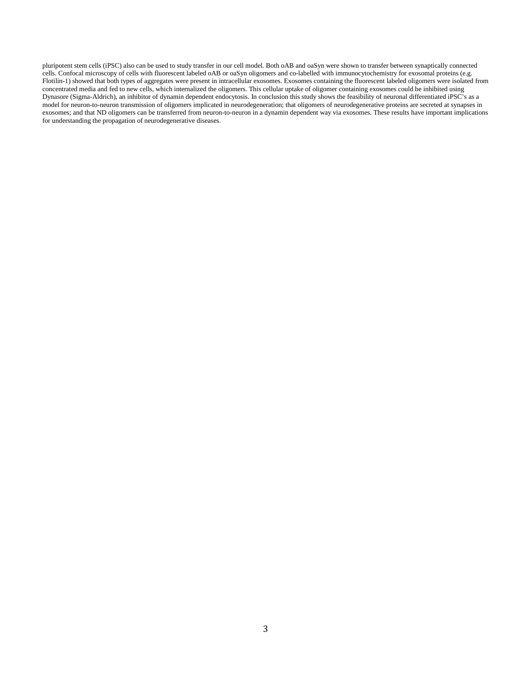pluripotent stem cells (iPSC) also can be used to study transfer in our cell model. Both oAB and oaSyn were shown to transfer between synaptically connected cells. Confocal microscopy of cells with fluorescent labeled oAB or oaSyn oligomers and co-labelled with immunocytochemistry for exosomal proteins (e.g. Flotilin-1) showed that both types of aggregates were present in intracellular exosomes. Exosomes containing the fluorescent labeled oligomers were isolated from concentrated media and fed to new cells, which internalized the oligomers. This cellular uptake of oligomer containing exosomes could be inhibited using Dynasore (Sigma-Aldrich), an inhibitor of dynamin dependent endocytosis. In conclusion this study shows the feasibility of neuronal differentiated iPSC's as a model for neuron-to-neuron transmission of oligomers implicated in neurodegeneration; that oligomers of neurodegenerative proteins are secreted at synapses in exosomes; and that ND oligomers can be transferred from neuron-to-neuron in a dynamin dependent way via exosomes. These results have important implications for understanding the propagation of neurodegenerative diseases.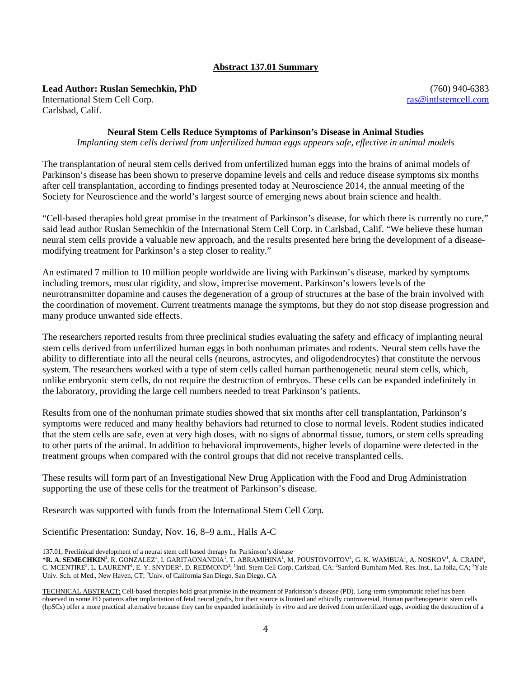# **Abstract 137.01 Summary**

**Lead Author: Ruslan Semechkin, PhD** International Stem Cell Corp. Carlsbad, Calif.

(760) 940-6383 [ras@intlstemcell.com](mailto:ras@intlstemcell.com)

#### **Neural Stem Cells Reduce Symptoms of Parkinson's Disease in Animal Studies**

*Implanting stem cells derived from unfertilized human eggs appears safe, effective in animal models* 

The transplantation of neural stem cells derived from unfertilized human eggs into the brains of animal models of Parkinson's disease has been shown to preserve dopamine levels and cells and reduce disease symptoms six months after cell transplantation, according to findings presented today at Neuroscience 2014, the annual meeting of the Society for Neuroscience and the world's largest source of emerging news about brain science and health.

"Cell-based therapies hold great promise in the treatment of Parkinson's disease, for which there is currently no cure," said lead author Ruslan Semechkin of the International Stem Cell Corp. in Carlsbad, Calif. "We believe these human neural stem cells provide a valuable new approach, and the results presented here bring the development of a diseasemodifying treatment for Parkinson's a step closer to reality."

An estimated 7 million to 10 million people worldwide are living with Parkinson's disease, marked by symptoms including tremors, muscular rigidity, and slow, imprecise movement. Parkinson's lowers levels of the neurotransmitter dopamine and causes the degeneration of a group of structures at the base of the brain involved with the coordination of movement. Current treatments manage the symptoms, but they do not stop disease progression and many produce unwanted side effects.

The researchers reported results from three preclinical studies evaluating the safety and efficacy of implanting neural stem cells derived from unfertilized human eggs in both nonhuman primates and rodents. Neural stem cells have the ability to differentiate into all the neural cells (neurons, astrocytes, and oligodendrocytes) that constitute the nervous system. The researchers worked with a type of stem cells called human parthenogenetic neural stem cells, which, unlike embryonic stem cells, do not require the destruction of embryos. These cells can be expanded indefinitely in the laboratory, providing the large cell numbers needed to treat Parkinson's patients.

Results from one of the nonhuman primate studies showed that six months after cell transplantation, Parkinson's symptoms were reduced and many healthy behaviors had returned to close to normal levels. Rodent studies indicated that the stem cells are safe, even at very high doses, with no signs of abnormal tissue, tumors, or stem cells spreading to other parts of the animal. In addition to behavioral improvements, higher levels of dopamine were detected in the treatment groups when compared with the control groups that did not receive transplanted cells.

These results will form part of an Investigational New Drug Application with the Food and Drug Administration supporting the use of these cells for the treatment of Parkinson's disease.

Research was supported with funds from the International Stem Cell Corp.

Scientific Presentation: Sunday, Nov. 16, 8–9 a.m., Halls A-C

TECHNICAL ABSTRACT: Cell-based therapies hold great promise in the treatment of Parkinson's disease (PD). Long-term symptomatic relief has been observed in some PD patients after implantation of fetal neural grafts, but their source is limited and ethically controversial. Human parthenogenetic stem cells (hpSCs) offer a more practical alternative because they can be expanded indefinitely *in vitro* and are derived from unfertilized eggs, avoiding the destruction of a

<sup>137.01,</sup> Preclinical development of a neural stem cell based therapy for Parkinson's disease

<sup>\*</sup>**R. A. SEMECHKIN<sup>1</sup>, R.** GONZALEZ<sup>I</sup>, I. GARITAONANDIA<sup>1</sup>, T. ABRAMIHINA<sup>1</sup>, M. POUSTOVOITOV<sup>1</sup>, G. K. WAMBUA<sup>1</sup>, A. NOSKOV<sup>1</sup>, A. CRAIN<sup>2</sup>, C. MCENTIRE<sup>3</sup>, L. LAURENT<sup>4</sup>, E. Y. SNYDER<sup>2</sup>, D. REDMOND<sup>3</sup>; <sup>1</sup>Intl. Stem Cell Corp, Carlsbad, CA; <sup>2</sup>Sanford-Burnham Med. Res. Inst., La Jolla, CA; <sup>3</sup>Yale Univ. Sch. of Med., New Haven, CT; <sup>4</sup>Univ. of California San Diego, San Diego, CA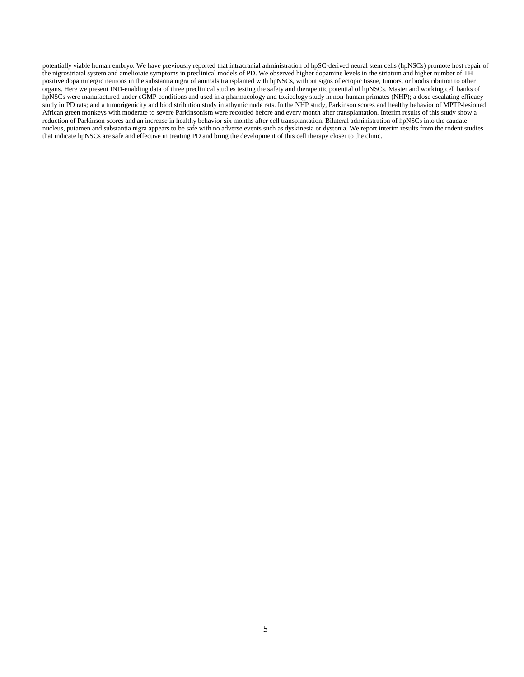potentially viable human embryo. We have previously reported that intracranial administration of hpSC-derived neural stem cells (hpNSCs) promote host repair of the nigrostriatal system and ameliorate symptoms in preclinical models of PD. We observed higher dopamine levels in the striatum and higher number of TH positive dopaminergic neurons in the substantia nigra of animals transplanted with hpNSCs, without signs of ectopic tissue, tumors, or biodistribution to other organs. Here we present IND-enabling data of three preclinical studies testing the safety and therapeutic potential of hpNSCs. Master and working cell banks of hpNSCs were manufactured under cGMP conditions and used in a pharmacology and toxicology study in non-human primates (NHP); a dose escalating efficacy study in PD rats; and a tumorigenicity and biodistribution study in athymic nude rats. In the NHP study, Parkinson scores and healthy behavior of MPTP-lesioned African green monkeys with moderate to severe Parkinsonism were recorded before and every month after transplantation. Interim results of this study show a reduction of Parkinson scores and an increase in healthy behavior six months after cell transplantation. Bilateral administration of hpNSCs into the caudate nucleus, putamen and substantia nigra appears to be safe with no adverse events such as dyskinesia or dystonia. We report interim results from the rodent studies that indicate hpNSCs are safe and effective in treating PD and bring the development of this cell therapy closer to the clinic.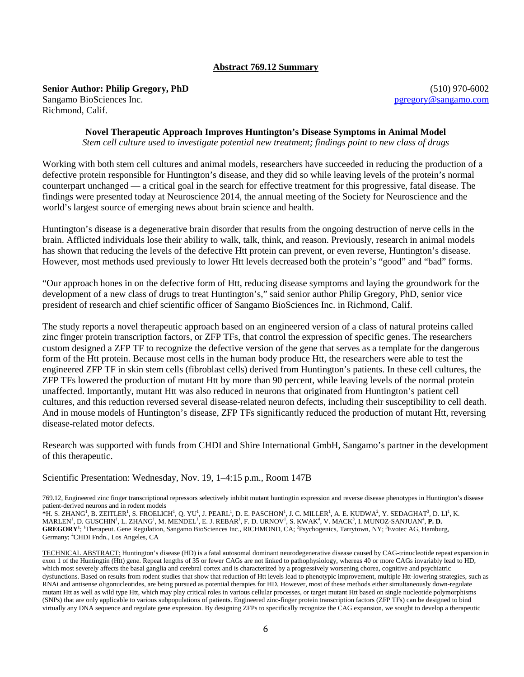### **Abstract 769.12 Summary**

**Senior Author: Philip Gregory, PhD** Sangamo BioSciences Inc. Richmond, Calif.

(510) 970-6002 [pgregory@sangamo.com](mailto:pgregory@sangamo.com)

**Novel Therapeutic Approach Improves Huntington's Disease Symptoms in Animal Model**

*Stem cell culture used to investigate potential new treatment; findings point to new class of drugs*

Working with both stem cell cultures and animal models, researchers have succeeded in reducing the production of a defective protein responsible for Huntington's disease, and they did so while leaving levels of the protein's normal counterpart unchanged — a critical goal in the search for effective treatment for this progressive, fatal disease. The findings were presented today at Neuroscience 2014, the annual meeting of the Society for Neuroscience and the world's largest source of emerging news about brain science and health.

Huntington's disease is a degenerative brain disorder that results from the ongoing destruction of nerve cells in the brain. Afflicted individuals lose their ability to walk, talk, think, and reason. Previously, research in animal models has shown that reducing the levels of the defective Htt protein can prevent, or even reverse, Huntington's disease. However, most methods used previously to lower Htt levels decreased both the protein's "good" and "bad" forms.

"Our approach hones in on the defective form of Htt, reducing disease symptoms and laying the groundwork for the development of a new class of drugs to treat Huntington's," said senior author Philip Gregory, PhD, senior vice president of research and chief scientific officer of Sangamo BioSciences Inc. in Richmond, Calif.

The study reports a novel therapeutic approach based on an engineered version of a class of natural proteins called zinc finger protein transcription factors, or ZFP TFs, that control the expression of specific genes. The researchers custom designed a ZFP TF to recognize the defective version of the gene that serves as a template for the dangerous form of the Htt protein. Because most cells in the human body produce Htt, the researchers were able to test the engineered ZFP TF in skin stem cells (fibroblast cells) derived from Huntington's patients. In these cell cultures, the ZFP TFs lowered the production of mutant Htt by more than 90 percent, while leaving levels of the normal protein unaffected. Importantly, mutant Htt was also reduced in neurons that originated from Huntington's patient cell cultures, and this reduction reversed several disease-related neuron defects, including their susceptibility to cell death. And in mouse models of Huntington's disease, ZFP TFs significantly reduced the production of mutant Htt, reversing disease-related motor defects.

Research was supported with funds from CHDI and Shire International GmbH, Sangamo's partner in the development of this therapeutic.

Scientific Presentation: Wednesday, Nov. 19, 1–4:15 p.m., Room 147B

769.12, Engineered zinc finger transcriptional repressors selectively inhibit mutant huntingtin expression and reverse disease phenotypes in Huntington's disease patient-derived neurons and in rodent models

\*H. S. ZHANG<sup>1</sup>, B. ZEITLER<sup>1</sup>, S. FROELICH<sup>1</sup>, Q. YU<sup>1</sup>, J. PEARL<sup>1</sup>, D. E. PASCHON<sup>1</sup>, J. C. MILLER<sup>1</sup>, A. E. KUDWA<sup>2</sup>, Y. SEDAGHAT<sup>3</sup>, D. LI<sup>1</sup>, K. MARLEN<sup>1</sup>, D. GUSCHIN<sup>1</sup>, L. ZHANG<sup>1</sup>, M. MENDEL<sup>1</sup>, E. J. REBAR<sup>1</sup>, F. D. URNOV<sup>1</sup>, S. KWAK<sup>4</sup>, V. MACK<sup>3</sup>, I. MUNOZ-SANJUAN<sup>4</sup>, **P. D.** GREGORY<sup>1</sup>; <sup>1</sup>Therapeut. Gene Regulation, Sangamo BioSciences Inc., RICHMOND, CA; <sup>2</sup>Psychogenics, Tarrytown, NY; <sup>3</sup>Evotec AG, Hamburg, Germany; <sup>4</sup> CHDI Fndn., Los Angeles, CA

TECHNICAL ABSTRACT: Huntington's disease (HD) is a fatal autosomal dominant neurodegenerative disease caused by CAG-trinucleotide repeat expansion in exon 1 of the Huntingtin (Htt) gene. Repeat lengths of 35 or fewer CAGs are not linked to pathophysiology, whereas 40 or more CAGs invariably lead to HD, which most severely affects the basal ganglia and cerebral cortex and is characterized by a progressively worsening chorea, cognitive and psychiatric dysfunctions. Based on results from rodent studies that show that reduction of Htt levels lead to phenotypic improvement, multiple Htt-lowering strategies, such as RNAi and antisense oligonucleotides, are being pursued as potential therapies for HD. However, most of these methods either simultaneously down-regulate mutant Htt as well as wild type Htt, which may play critical roles in various cellular processes, or target mutant Htt based on single nucleotide polymorphisms (SNPs) that are only applicable to various subpopulations of patients. Engineered zinc-finger protein transcription factors (ZFP TFs) can be designed to bind virtually any DNA sequence and regulate gene expression. By designing ZFPs to specifically recognize the CAG expansion, we sought to develop a therapeutic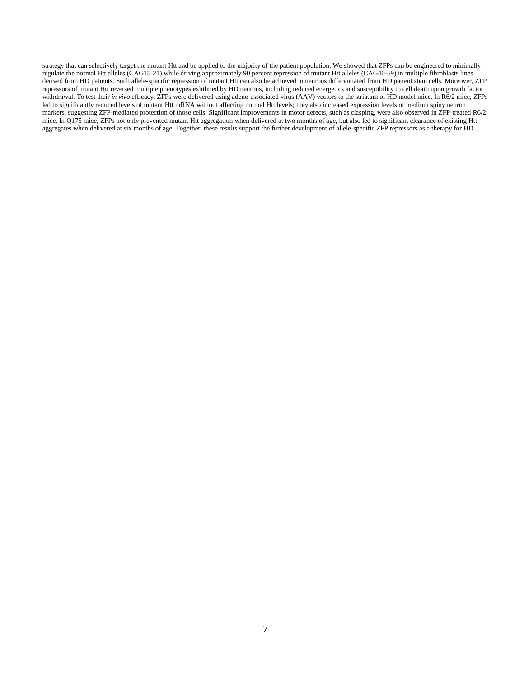strategy that can selectively target the mutant Htt and be applied to the majority of the patient population. We showed that ZFPs can be engineered to minimally regulate the normal Htt alleles (CAG15-21) while driving approximately 90 percent repression of mutant Htt alleles (CAG40-69) in multiple fibroblasts lines derived from HD patients. Such allele-specific repression of mutant Htt can also be achieved in neurons differentiated from HD patient stem cells. Moreover, ZFP repressors of mutant Htt reversed multiple phenotypes exhibited by HD neurons, including reduced energetics and susceptibility to cell death upon growth factor withdrawal. To test their *in vivo* efficacy, ZFPs were delivered using adeno-associated virus (AAV) vectors to the striatum of HD model mice. In R6/2 mice, ZFPs led to significantly reduced levels of mutant Htt mRNA without affecting normal Htt levels; they also increased expression levels of medium spiny neuron markers, suggesting ZFP-mediated protection of those cells. Significant improvements in motor defects, such as clasping, were also observed in ZFP-treated R6/2 mice. In Q175 mice, ZFPs not only prevented mutant Htt aggregation when delivered at two months of age, but also led to significant clearance of existing Htt aggregates when delivered at six months of age. Together, these results support the further development of allele-specific ZFP repressors as a therapy for HD.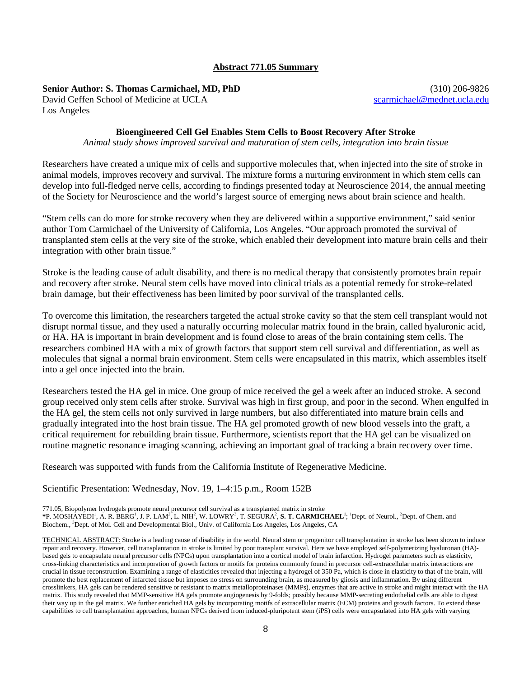### **Abstract 771.05 Summary**

**Senior Author: S. Thomas Carmichael, MD, PhD**

David Geffen School of Medicine at UCLA Los Angeles

(310) 206-9826 [scarmichael@mednet.ucla.edu](mailto:scarmichael@mednet.ucla.edu)

#### **Bioengineered Cell Gel Enables Stem Cells to Boost Recovery After Stroke**

*Animal study shows improved survival and maturation of stem cells, integration into brain tissue*

Researchers have created a unique mix of cells and supportive molecules that, when injected into the site of stroke in animal models, improves recovery and survival. The mixture forms a nurturing environment in which stem cells can develop into full-fledged nerve cells, according to findings presented today at Neuroscience 2014, the annual meeting of the Society for Neuroscience and the world's largest source of emerging news about brain science and health.

"Stem cells can do more for stroke recovery when they are delivered within a supportive environment," said senior author Tom Carmichael of the University of California, Los Angeles. "Our approach promoted the survival of transplanted stem cells at the very site of the stroke, which enabled their development into mature brain cells and their integration with other brain tissue."

Stroke is the leading cause of adult disability, and there is no medical therapy that consistently promotes brain repair and recovery after stroke. Neural stem cells have moved into clinical trials as a potential remedy for stroke-related brain damage, but their effectiveness has been limited by poor survival of the transplanted cells.

To overcome this limitation, the researchers targeted the actual stroke cavity so that the stem cell transplant would not disrupt normal tissue, and they used a naturally occurring molecular matrix found in the brain, called hyaluronic acid, or HA. HA is important in brain development and is found close to areas of the brain containing stem cells. The researchers combined HA with a mix of growth factors that support stem cell survival and differentiation, as well as molecules that signal a normal brain environment. Stem cells were encapsulated in this matrix, which assembles itself into a gel once injected into the brain.

Researchers tested the HA gel in mice. One group of mice received the gel a week after an induced stroke. A second group received only stem cells after stroke. Survival was high in first group, and poor in the second. When engulfed in the HA gel, the stem cells not only survived in large numbers, but also differentiated into mature brain cells and gradually integrated into the host brain tissue. The HA gel promoted growth of new blood vessels into the graft, a critical requirement for rebuilding brain tissue. Furthermore, scientists report that the HA gel can be visualized on routine magnetic resonance imaging scanning, achieving an important goal of tracking a brain recovery over time.

Research was supported with funds from the California Institute of Regenerative Medicine.

Scientific Presentation: Wednesday, Nov. 19, 1–4:15 p.m., Room 152B

771.05, Biopolymer hydrogels promote neural precursor cell survival as a transplanted matrix in stroke

\*P. MOSHAYEDI<sup>1</sup>, A. R. BERG<sup>1</sup>, J. P. LAM<sup>2</sup>, L. NIH<sup>2</sup>, W. LOWRY<sup>3</sup>, T. SEGURA<sup>2</sup>, S. T. CARMICHAEL<sup>1</sup>; <sup>1</sup>Dept. of Neurol., <sup>2</sup>Dept. of Chem. and Biochem., <sup>3</sup>Dept. of Mol. Cell and Developmental Biol., Univ. of California Los Angeles, Los Angeles, CA

TECHNICAL ABSTRACT: Stroke is a leading cause of disability in the world. Neural stem or progenitor cell transplantation in stroke has been shown to induce repair and recovery. However, cell transplantation in stroke is limited by poor transplant survival. Here we have employed self-polymerizing hyaluronan (HA) based gels to encapsulate neural precursor cells (NPCs) upon transplantation into a cortical model of brain infarction. Hydrogel parameters such as elasticity, cross-linking characteristics and incorporation of growth factors or motifs for proteins commonly found in precursor cell-extracellular matrix interactions are crucial in tissue reconstruction. Examining a range of elasticities revealed that injecting a hydrogel of 350 Pa, which is close in elasticity to that of the brain, will promote the best replacement of infarcted tissue but imposes no stress on surrounding brain, as measured by gliosis and inflammation. By using different crosslinkers, HA gels can be rendered sensitive or resistant to matrix metalloproteinases (MMPs), enzymes that are active in stroke and might interact with the HA matrix. This study revealed that MMP-sensitive HA gels promote angiogenesis by 9-folds; possibly because MMP-secreting endothelial cells are able to digest their way up in the gel matrix. We further enriched HA gels by incorporating motifs of extracellular matrix (ECM) proteins and growth factors. To extend these capabilities to cell transplantation approaches, human NPCs derived from induced-pluripotent stem (iPS) cells were encapsulated into HA gels with varying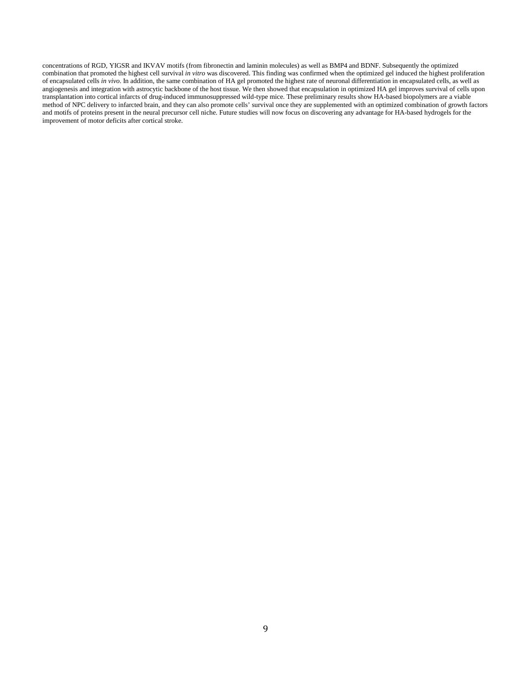concentrations of RGD, YIGSR and IKVAV motifs (from fibronectin and laminin molecules) as well as BMP4 and BDNF. Subsequently the optimized combination that promoted the highest cell survival *in vitro* was discovered. This finding was confirmed when the optimized gel induced the highest proliferation of encapsulated cells *in vivo*. In addition, the same combination of HA gel promoted the highest rate of neuronal differentiation in encapsulated cells, as well as angiogenesis and integration with astrocytic backbone of the host tissue. We then showed that encapsulation in optimized HA gel improves survival of cells upon transplantation into cortical infarcts of drug-induced immunosuppressed wild-type mice. These preliminary results show HA-based biopolymers are a viable method of NPC delivery to infarcted brain, and they can also promote cells' survival once they are supplemented with an optimized combination of growth factors and motifs of proteins present in the neural precursor cell niche. Future studies will now focus on discovering any advantage for HA-based hydrogels for the improvement of motor deficits after cortical stroke.